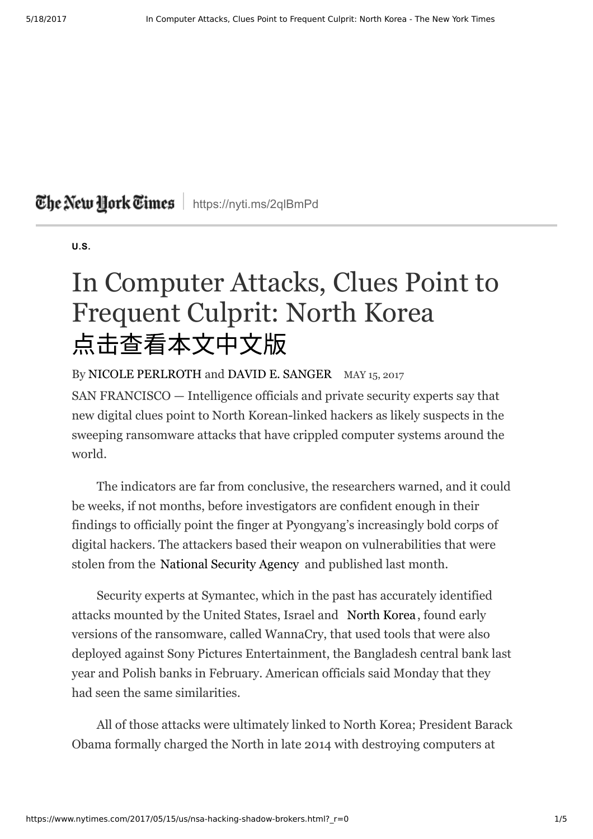# The New Hork Times | https://nyti.ms/2qIBmPd

#### **[U.S.](https://www.nytimes.com/section/us)**

# In Computer Attacks, Clues Point to Frequent Culprit: North Korea [点击查看本⽂中⽂版](http://cn.nytimes.com/world/20170516/nsa-hacking-shadow-brokers/)

#### By [NICOLE PERLROTH](https://www.nytimes.com/by/nicole-perlroth) and [DAVID E. SANGER](https://www.nytimes.com/by/david-e-sanger) MAY 15, 2017

SAN FRANCISCO — Intelligence officials and private security experts say that new digital clues point to North Korean-linked hackers as likely suspects in the sweeping ransomware attacks that have crippled computer systems around the world.

The indicators are far from conclusive, the researchers warned, and it could be weeks, if not months, before investigators are confident enough in their findings to officially point the finger at Pyongyang's increasingly bold corps of digital hackers. The attackers based their weapon on vulnerabilities that were stolen from the [National Security Agency](http://topics.nytimes.com/top/reference/timestopics/organizations/n/national_security_agency/index.html?inline=nyt-org) and published last month.

Security experts at Symantec, which in the past has accurately identified attacks mounted by the United States, Israel and [North Korea,](http://topics.nytimes.com/top/news/international/countriesandterritories/northkorea/index.html?inline=nyt-geo) found early versions of the ransomware, called WannaCry, that used tools that were also deployed against Sony Pictures Entertainment, the Bangladesh central bank last year and Polish banks in February. American officials said Monday that they had seen the same similarities.

All of those attacks were ultimately linked to North Korea; President Barack Obama formally charged the North in late 2014 with destroying computers at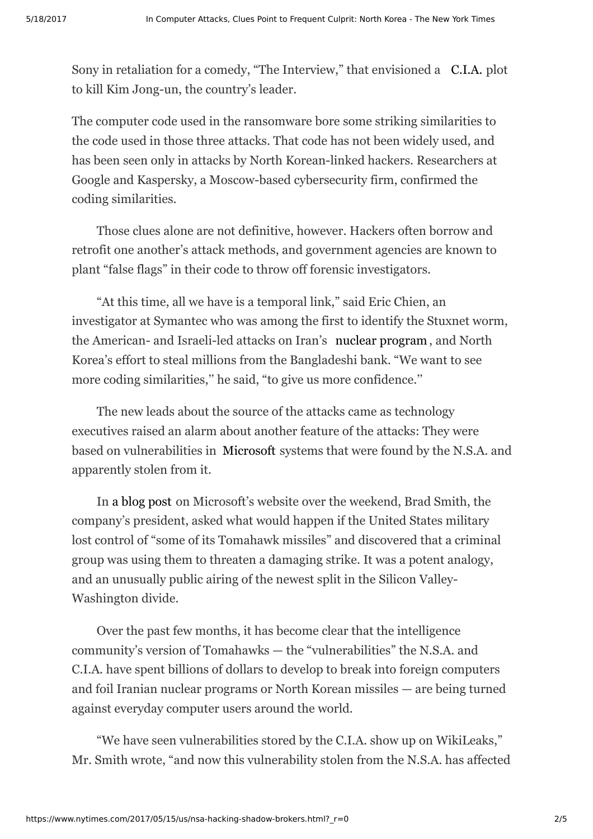Sony in retaliation for a comedy, "The Interview," that envisioned a [C.I.A.](http://topics.nytimes.com/top/reference/timestopics/organizations/c/central_intelligence_agency/index.html?inline=nyt-org) plot to kill Kim Jong-un, the country's leader.

The computer code used in the ransomware bore some striking similarities to the code used in those three attacks. That code has not been widely used, and has been seen only in attacks by North Korean-linked hackers. Researchers at Google and Kaspersky, a Moscow-based cybersecurity firm, confirmed the coding similarities.

Those clues alone are not definitive, however. Hackers often borrow and retrofit one another's attack methods, and government agencies are known to plant "false flags" in their code to throw off forensic investigators.

"At this time, all we have is a temporal link," said Eric Chien, an investigator at Symantec who was among the first to identify the Stuxnet worm, the American- and Israeli-led attacks on Iran's [nuclear program](http://topics.nytimes.com/top/news/international/countriesandterritories/iran/nuclear_program/index.html?inline=nyt-classifier) , and North Korea's effort to steal millions from the Bangladeshi bank. "We want to see more coding similarities," he said, "to give us more confidence."

The new leads about the source of the attacks came as technology executives raised an alarm about another feature of the attacks: They were based on vulnerabilities in [Microsoft](http://www.nytimes.com/topic/company/microsoft-corporation?inline=nyt-org) systems that were found by the N.S.A. and apparently stolen from it.

In [a blog post](https://blogs.microsoft.com/on-the-issues/2017/05/14/need-urgent-collective-action-keep-people-safe-online-lessons-last-weeks-cyberattack/#hYj6ftCXFUE6aBR8.99) on Microsoft's website over the weekend, Brad Smith, the company's president, asked what would happen if the United States military lost control of "some of its Tomahawk missiles" and discovered that a criminal group was using them to threaten a damaging strike. It was a potent analogy, and an unusually public airing of the newest split in the Silicon Valley-Washington divide.

Over the past few months, it has become clear that the intelligence community's version of Tomahawks — the "vulnerabilities" the N.S.A. and C.I.A. have spent billions of dollars to develop to break into foreign computers and foil Iranian nuclear programs or North Korean missiles — are being turned against everyday computer users around the world.

"We have seen vulnerabilities stored by the C.I.A. show up on WikiLeaks," Mr. Smith wrote, "and now this vulnerability stolen from the N.S.A. has affected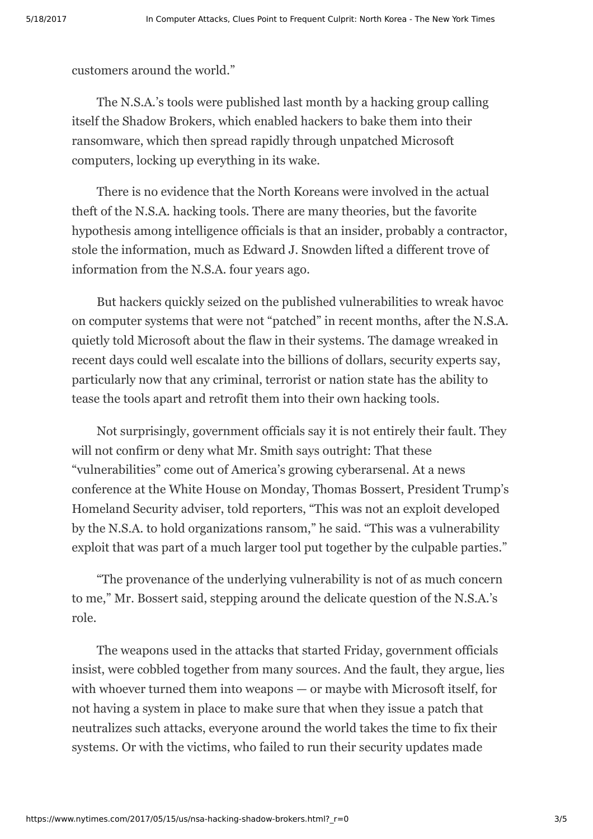customers around the world."

The N.S.A.'s tools were published last month by a hacking group calling itself the Shadow Brokers, which enabled hackers to bake them into their ransomware, which then spread rapidly through unpatched Microsoft computers, locking up everything in its wake.

There is no evidence that the North Koreans were involved in the actual theft of the N.S.A. hacking tools. There are many theories, but the favorite hypothesis among intelligence officials is that an insider, probably a contractor, stole the information, much as Edward J. Snowden lifted a different trove of information from the N.S.A. four years ago.

But hackers quickly seized on the published vulnerabilities to wreak havoc on computer systems that were not "patched" in recent months, after the N.S.A. quietly told Microsoft about the flaw in their systems. The damage wreaked in recent days could well escalate into the billions of dollars, security experts say, particularly now that any criminal, terrorist or nation state has the ability to tease the tools apart and retrofit them into their own hacking tools.

Not surprisingly, government officials say it is not entirely their fault. They will not confirm or deny what Mr. Smith says outright: That these "vulnerabilities" come out of America's growing cyberarsenal. At a news conference at the White House on Monday, Thomas Bossert, President Trump's Homeland Security adviser, told reporters, "This was not an exploit developed by the N.S.A. to hold organizations ransom," he said. "This was a vulnerability exploit that was part of a much larger tool put together by the culpable parties."

"The provenance of the underlying vulnerability is not of as much concern to me," Mr. Bossert said, stepping around the delicate question of the N.S.A.'s role.

The weapons used in the attacks that started Friday, government officials insist, were cobbled together from many sources. And the fault, they argue, lies with whoever turned them into weapons — or maybe with Microsoft itself, for not having a system in place to make sure that when they issue a patch that neutralizes such attacks, everyone around the world takes the time to fix their systems. Or with the victims, who failed to run their security updates made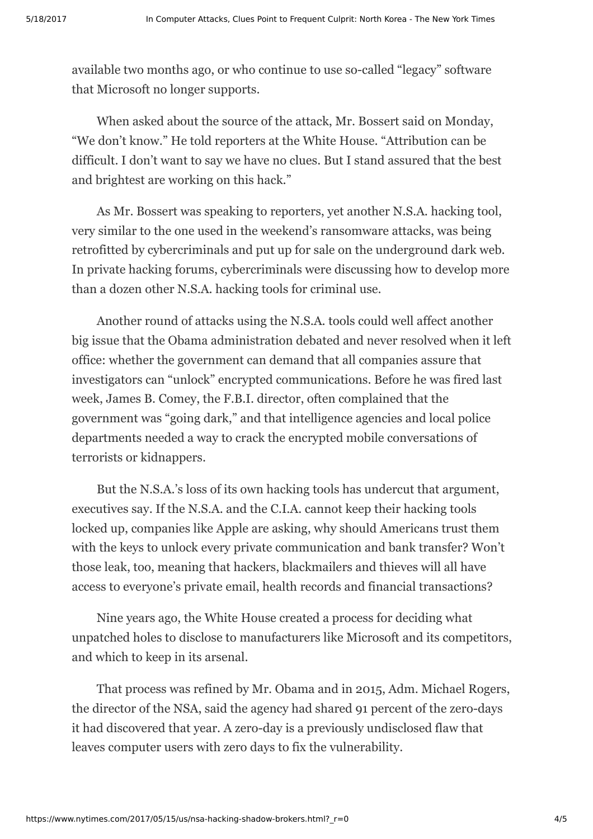available two months ago, or who continue to use so-called "legacy" software that Microsoft no longer supports.

When asked about the source of the attack, Mr. Bossert said on Monday, "We don't know." He told reporters at the White House. "Attribution can be difficult. I don't want to say we have no clues. But I stand assured that the best and brightest are working on this hack."

As Mr. Bossert was speaking to reporters, yet another N.S.A. hacking tool, very similar to the one used in the weekend's ransomware attacks, was being retrofitted by cybercriminals and put up for sale on the underground dark web. In private hacking forums, cybercriminals were discussing how to develop more than a dozen other N.S.A. hacking tools for criminal use.

Another round of attacks using the N.S.A. tools could well affect another big issue that the Obama administration debated and never resolved when it left office: whether the government can demand that all companies assure that investigators can "unlock" encrypted communications. Before he was fired last week, James B. Comey, the F.B.I. director, often complained that the government was "going dark," and that intelligence agencies and local police departments needed a way to crack the encrypted mobile conversations of terrorists or kidnappers.

But the N.S.A.'s loss of its own hacking tools has undercut that argument, executives say. If the N.S.A. and the C.I.A. cannot keep their hacking tools locked up, companies like Apple are asking, why should Americans trust them with the keys to unlock every private communication and bank transfer? Won't those leak, too, meaning that hackers, blackmailers and thieves will all have access to everyone's private email, health records and financial transactions?

Nine years ago, the White House created a process for deciding what unpatched holes to disclose to manufacturers like Microsoft and its competitors, and which to keep in its arsenal.

That process was refined by Mr. Obama and in 2015, Adm. Michael Rogers, the director of the NSA, said the agency had shared 91 percent of the zero-days it had discovered that year. A zero-day is a previously undisclosed flaw that leaves computer users with zero days to fix the vulnerability.